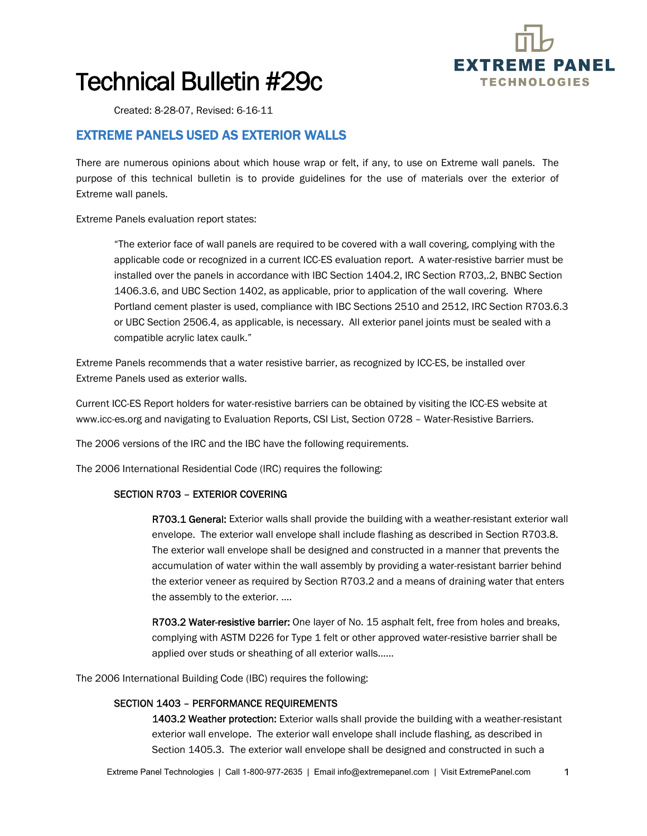

# Technical Bulletin #29c

Created: 8-28-07, Revised: 6-16-11

### EXTREME PANELS USED AS EXTERIOR WALLS

There are numerous opinions about which house wrap or felt, if any, to use on Extreme wall panels. The purpose of this technical bulletin is to provide guidelines for the use of materials over the exterior of Extreme wall panels.

Extreme Panels evaluation report states:

"The exterior face of wall panels are required to be covered with a wall covering, complying with the applicable code or recognized in a current ICC-ES evaluation report. A water-resistive barrier must be installed over the panels in accordance with IBC Section 1404.2, IRC Section R703,.2, BNBC Section 1406.3.6, and UBC Section 1402, as applicable, prior to application of the wall covering. Where Portland cement plaster is used, compliance with IBC Sections 2510 and 2512, IRC Section R703.6.3 or UBC Section 2506.4, as applicable, is necessary. All exterior panel joints must be sealed with a compatible acrylic latex caulk."

Extreme Panels recommends that a water resistive barrier, as recognized by ICC-ES, be installed over Extreme Panels used as exterior walls.

Current ICC-ES Report holders for water-resistive barriers can be obtained by visiting the ICC-ES website at www.icc-es.org and navigating to Evaluation Reports, CSI List, Section 0728 – Water-Resistive Barriers.

The 2006 versions of the IRC and the IBC have the following requirements.

The 2006 International Residential Code (IRC) requires the following:

#### SECTION R703 – EXTERIOR COVERING

R703.1 General: Exterior walls shall provide the building with a weather-resistant exterior wall envelope. The exterior wall envelope shall include flashing as described in Section R703.8. The exterior wall envelope shall be designed and constructed in a manner that prevents the accumulation of water within the wall assembly by providing a water-resistant barrier behind the exterior veneer as required by Section R703.2 and a means of draining water that enters the assembly to the exterior. ….

R703.2 Water-resistive barrier: One layer of No. 15 asphalt felt, free from holes and breaks, complying with ASTM D226 for Type 1 felt or other approved water-resistive barrier shall be applied over studs or sheathing of all exterior walls……

The 2006 International Building Code (IBC) requires the following:

#### SECTION 1403 – PERFORMANCE REQUIREMENTS

1403.2 Weather protection: Exterior walls shall provide the building with a weather-resistant exterior wall envelope. The exterior wall envelope shall include flashing, as described in Section 1405.3. The exterior wall envelope shall be designed and constructed in such a